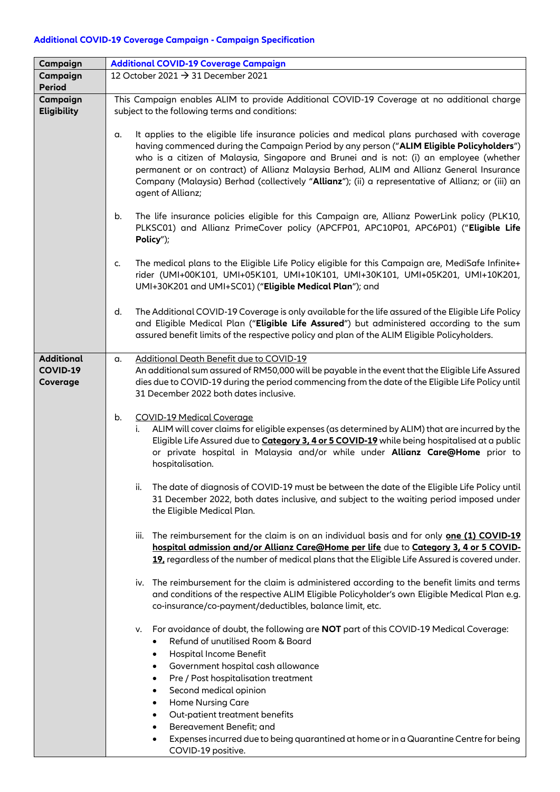## **Additional COVID-19 Coverage Campaign - Campaign Specification**

| Campaign                       | <b>Additional COVID-19 Coverage Campaign</b>                                                                                                                                                                                                                                                                                                                                                                                                                                                                     |
|--------------------------------|------------------------------------------------------------------------------------------------------------------------------------------------------------------------------------------------------------------------------------------------------------------------------------------------------------------------------------------------------------------------------------------------------------------------------------------------------------------------------------------------------------------|
| Campaign                       | 12 October 2021 → 31 December 2021                                                                                                                                                                                                                                                                                                                                                                                                                                                                               |
| <b>Period</b>                  |                                                                                                                                                                                                                                                                                                                                                                                                                                                                                                                  |
| Campaign<br><b>Eligibility</b> | This Campaign enables ALIM to provide Additional COVID-19 Coverage at no additional charge<br>subject to the following terms and conditions:                                                                                                                                                                                                                                                                                                                                                                     |
|                                | It applies to the eligible life insurance policies and medical plans purchased with coverage<br>a.<br>having commenced during the Campaign Period by any person ("ALIM Eligible Policyholders")<br>who is a citizen of Malaysia, Singapore and Brunei and is not: (i) an employee (whether<br>permanent or on contract) of Allianz Malaysia Berhad, ALIM and Allianz General Insurance<br>Company (Malaysia) Berhad (collectively "Allianz"); (ii) a representative of Allianz; or (iii) an<br>agent of Allianz; |
|                                | The life insurance policies eligible for this Campaign are, Allianz PowerLink policy (PLK10,<br>b.<br>PLKSC01) and Allianz PrimeCover policy (APCFP01, APC10P01, APC6P01) ("Eligible Life<br>Policy");                                                                                                                                                                                                                                                                                                           |
|                                | The medical plans to the Eligible Life Policy eligible for this Campaign are, MediSafe Infinite+<br>C.<br>rider (UMI+00K101, UMI+05K101, UMI+10K101, UMI+30K101, UMI+05K201, UMI+10K201,<br>UMI+30K201 and UMI+SC01) ("Eligible Medical Plan"); and                                                                                                                                                                                                                                                              |
|                                | The Additional COVID-19 Coverage is only available for the life assured of the Eligible Life Policy<br>d.<br>and Eligible Medical Plan ("Eligible Life Assured") but administered according to the sum<br>assured benefit limits of the respective policy and plan of the ALIM Eligible Policyholders.                                                                                                                                                                                                           |
| <b>Additional</b>              | Additional Death Benefit due to COVID-19<br>α.                                                                                                                                                                                                                                                                                                                                                                                                                                                                   |
| COVID-19<br>Coverage           | An additional sum assured of RM50,000 will be payable in the event that the Eligible Life Assured<br>dies due to COVID-19 during the period commencing from the date of the Eligible Life Policy until<br>31 December 2022 both dates inclusive.                                                                                                                                                                                                                                                                 |
|                                | <b>COVID-19 Medical Coverage</b><br>b.<br>ALIM will cover claims for eligible expenses (as determined by ALIM) that are incurred by the<br>i.<br>Eligible Life Assured due to Category 3, 4 or 5 COVID-19 while being hospitalised at a public<br>or private hospital in Malaysia and/or while under Allianz Care@Home prior to<br>hospitalisation.                                                                                                                                                              |
|                                | The date of diagnosis of COVID-19 must be between the date of the Eligible Life Policy until<br>ii.<br>31 December 2022, both dates inclusive, and subject to the waiting period imposed under<br>the Eligible Medical Plan.                                                                                                                                                                                                                                                                                     |
|                                | The reimbursement for the claim is on an individual basis and for only one (1) COVID-19<br>iii.<br>hospital admission and/or Allianz Care@Home per life due to Category 3, 4 or 5 COVID-<br>19, regardless of the number of medical plans that the Eligible Life Assured is covered under.                                                                                                                                                                                                                       |
|                                | The reimbursement for the claim is administered according to the benefit limits and terms<br>iv.<br>and conditions of the respective ALIM Eligible Policyholder's own Eligible Medical Plan e.g.<br>co-insurance/co-payment/deductibles, balance limit, etc.                                                                                                                                                                                                                                                     |
|                                | For avoidance of doubt, the following are <b>NOT</b> part of this COVID-19 Medical Coverage:<br>v.<br>Refund of unutilised Room & Board<br>Hospital Income Benefit<br>٠<br>Government hospital cash allowance<br>٠                                                                                                                                                                                                                                                                                               |
|                                | Pre / Post hospitalisation treatment<br>٠                                                                                                                                                                                                                                                                                                                                                                                                                                                                        |
|                                | Second medical opinion<br>$\bullet$                                                                                                                                                                                                                                                                                                                                                                                                                                                                              |
|                                | <b>Home Nursing Care</b><br>٠                                                                                                                                                                                                                                                                                                                                                                                                                                                                                    |
|                                | Out-patient treatment benefits<br>٠                                                                                                                                                                                                                                                                                                                                                                                                                                                                              |
|                                | Bereavement Benefit; and                                                                                                                                                                                                                                                                                                                                                                                                                                                                                         |
|                                | Expenses incurred due to being quarantined at home or in a Quarantine Centre for being<br>٠<br>COVID-19 positive.                                                                                                                                                                                                                                                                                                                                                                                                |